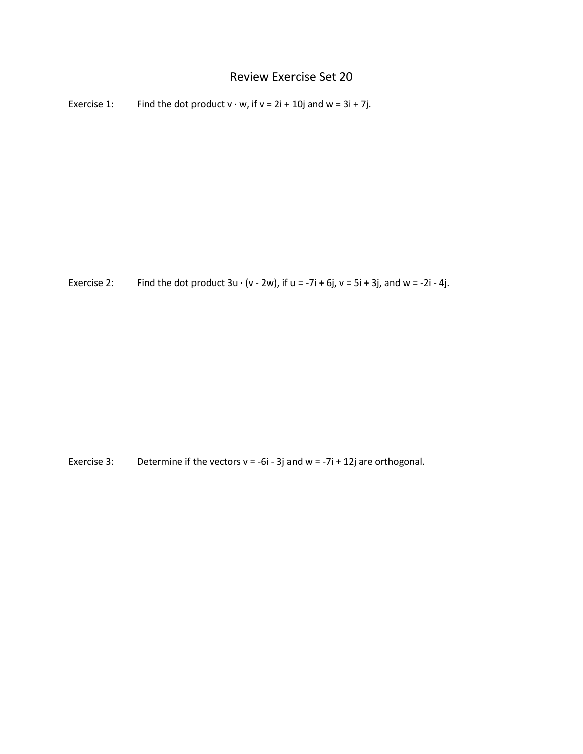## Review Exercise Set 20

Exercise 1: Find the dot product  $v \cdot w$ , if  $v = 2i + 10j$  and  $w = 3i + 7j$ .

Exercise 2: Find the dot product  $3u \cdot (v - 2w)$ , if  $u = -7i + 6j$ ,  $v = 5i + 3j$ , and  $w = -2i - 4j$ .

Exercise 3: Determine if the vectors  $v = -6i - 3j$  and  $w = -7i + 12j$  are orthogonal.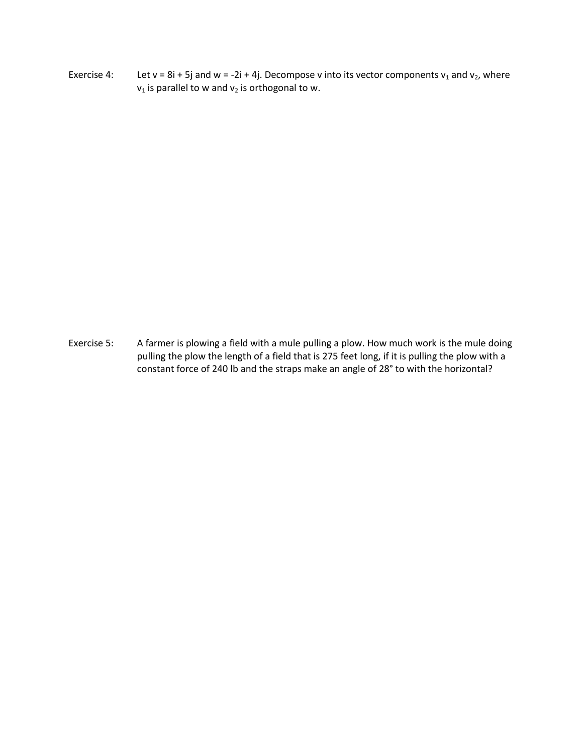Exercise 4: Let v = 8i + 5j and w = -2i + 4j. Decompose v into its vector components  $v_1$  and  $v_2$ , where  $v_1$  is parallel to w and  $v_2$  is orthogonal to w.

Exercise 5: A farmer is plowing a field with a mule pulling a plow. How much work is the mule doing pulling the plow the length of a field that is 275 feet long, if it is pulling the plow with a constant force of 240 lb and the straps make an angle of 28° to with the horizontal?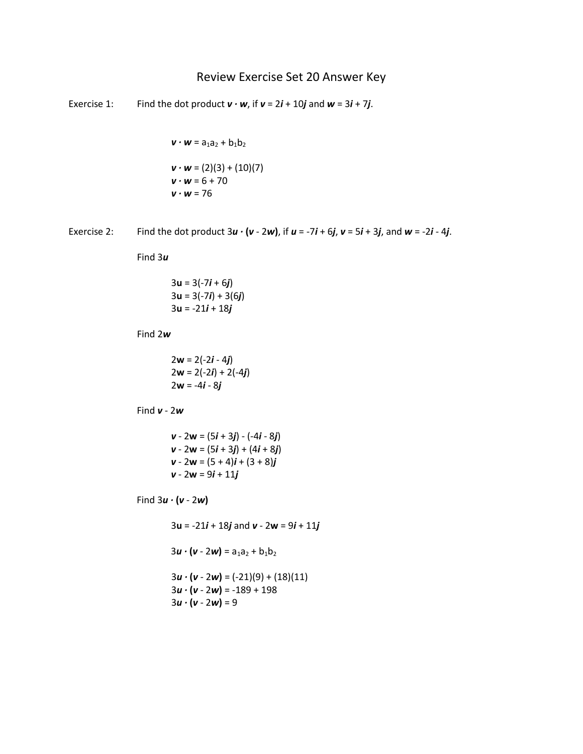## Review Exercise Set 20 Answer Key

Exercise 1: Find the dot product  $v \cdot w$ , if  $v = 2i + 10j$  and  $w = 3i + 7j$ .

 $v \cdot w = a_1 a_2 + b_1 b_2$  $v \cdot w = (2)(3) + (10)(7)$  $v \cdot w = 6 + 70$  $v \cdot w = 76$ 

Exercise 2: Find the dot product  $3u \cdot (v - 2w)$ , if  $u = -7i + 6j$ ,  $v = 5i + 3j$ , and  $w = -2i - 4j$ .

Find 3*u*

$$
3u = 3(-7i + 6j)
$$
  
\n
$$
3u = 3(-7i) + 3(6j)
$$
  
\n
$$
3u = -21i + 18j
$$

Find 2*w*

$$
2w = 2(-2i - 4j)
$$
  
2w = 2(-2i) + 2(-4j)  
2w = -4i - 8j

Find *v* - 2*w*

*v* - 2**w** = (5*i* + 3*j*) - (-4*i* - 8*j*) *v* - 2**w** = (5*i* + 3*j*) + (4*i* + 8*j*) *v* - 2**w** = (5 + 4)*i* + (3 + 8)*j v* - 2**w** = 9*i* + 11*j*

Find 3*u ·* **(***v* - 2*w***)**

3**u** = -21*i* + 18*j* and *v* - 2**w** = 9*i* + 11*j*  $3u \cdot (v - 2w) = a_1a_2 + b_1b_2$  $3u \cdot (v - 2w) = (-21)(9) + (18)(11)$  $3u \cdot (v - 2w) = -189 + 198$  $3u \cdot (v - 2w) = 9$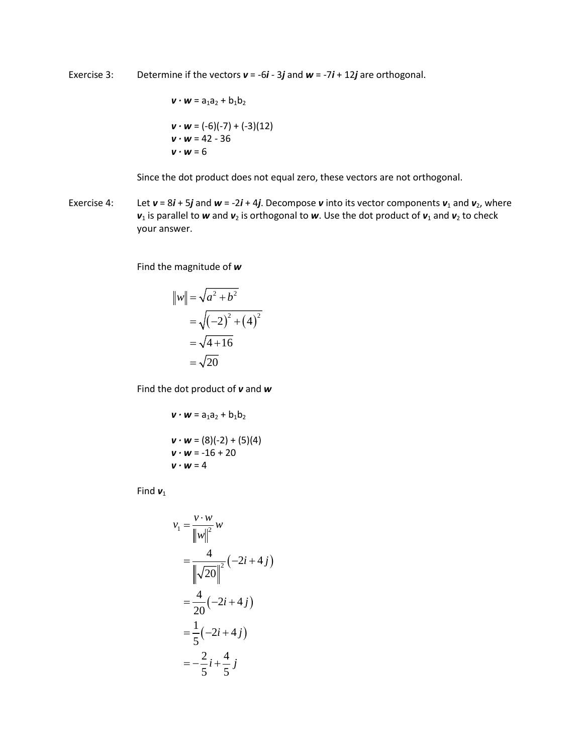Exercise 3: Determine if the vectors *v* = -6*i* - 3*j* and *w* = -7*i* + 12*j* are orthogonal.

$$
\mathbf{v} \cdot \mathbf{w} = a_1 a_2 + b_1 b_2
$$
  

$$
\mathbf{v} \cdot \mathbf{w} = (-6)(-7) + (-3)(12)
$$
  

$$
\mathbf{v} \cdot \mathbf{w} = 42 - 36
$$
  

$$
\mathbf{v} \cdot \mathbf{w} = 6
$$

Since the dot product does not equal zero, these vectors are not orthogonal.

Exercise 4: Let  $v = 8i + 5j$  and  $w = -2i + 4j$ . Decompose *v* into its vector components  $v_1$  and  $v_2$ , where  $v_1$  is parallel to *w* and  $v_2$  is orthogonal to *w*. Use the dot product of  $v_1$  and  $v_2$  to check your answer.

Find the magnitude of *w*

$$
|w|| = \sqrt{a^2 + b^2}
$$
  
=  $\sqrt{(-2)^2 + (4)^2}$   
=  $\sqrt{4 + 16}$   
=  $\sqrt{20}$ 

Find the dot product of *v* and *w*

$$
\mathbf{v} \cdot \mathbf{w} = a_1 a_2 + b_1 b_2
$$
  

$$
\mathbf{v} \cdot \mathbf{w} = (8)(-2) + (5)(4)
$$
  

$$
\mathbf{v} \cdot \mathbf{w} = -16 + 20
$$
  

$$
\mathbf{v} \cdot \mathbf{w} = 4
$$

Find  $v_1$ 

$$
v_1 = \frac{v \cdot w}{\|w\|^2} w
$$
  
=  $\frac{4}{\|\sqrt{20}\|^2} (-2i + 4j)$   
=  $\frac{4}{20} (-2i + 4j)$   
=  $\frac{1}{5} (-2i + 4j)$   
=  $-\frac{2}{5}i + \frac{4}{5}j$